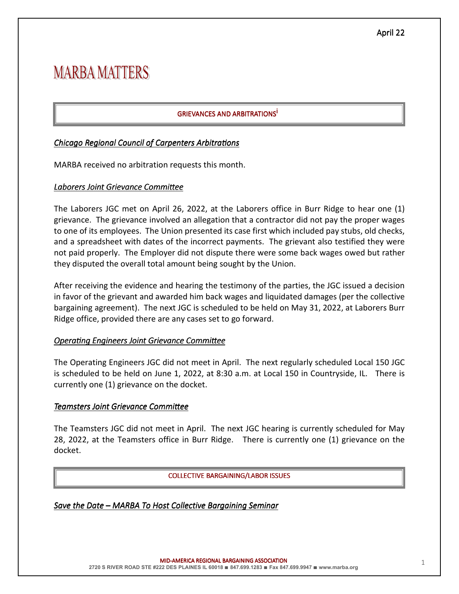# **MARBA MATTERS**

## **GRIEVANCES AND ARBITRATIONS<sup>İ</sup>**

#### *Chicago Regional Council of Carpenters Arbitrations*

MARBA received no arbitration requests this month.

#### Laborers Joint Grievance Committee

The Laborers JGC met on April 26, 2022, at the Laborers office in Burr Ridge to hear one (1) grievance. The grievance involved an allegation that a contractor did not pay the proper wages to one of its employees. The Union presented its case first which included pay stubs, old checks, and a spreadsheet with dates of the incorrect payments. The grievant also testified they were not paid properly. The Employer did not dispute there were some back wages owed but rather they disputed the overall total amount being sought by the Union.

After receiving the evidence and hearing the testimony of the parties, the JGC issued a decision in favor of the grievant and awarded him back wages and liquidated damages (per the collective bargaining agreement). The next JGC is scheduled to be held on May 31, 2022, at Laborers Burr Ridge office, provided there are any cases set to go forward.

#### **Operating Engineers Joint Grievance Committee**

The Operating Engineers JGC did not meet in April. The next regularly scheduled Local 150 JGC is scheduled to be held on June 1, 2022, at 8:30 a.m. at Local 150 in Countryside, IL. There is currently one (1) grievance on the docket.

#### **Teamsters Joint Grievance Committee**

The Teamsters JGC did not meet in April. The next JGC hearing is currently scheduled for May 28, 2022, at the Teamsters office in Burr Ridge. There is currently one (1) grievance on the docket.

#### COLLECTIVE BARGAINING/LABOR ISSUES

*Save the Date – MARBA To Host Collective Bargaining Seminar*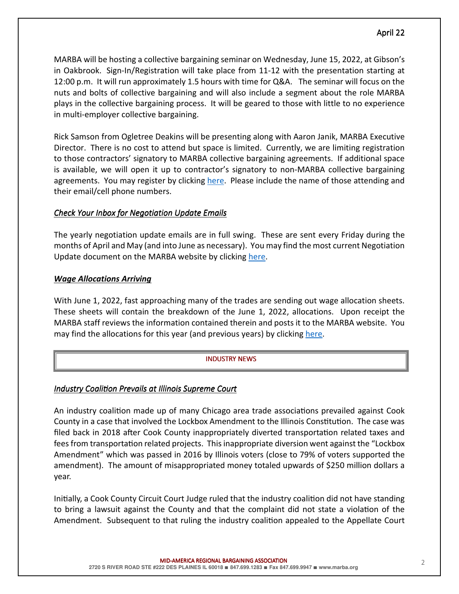## April 22

MARBA will be hosting a collective bargaining seminar on Wednesday, June 15, 2022, at Gibson's in Oakbrook. Sign-In/Registration will take place from 11-12 with the presentation starting at 12:00 p.m. It will run approximately 1.5 hours with time for Q&A. The seminar will focus on the nuts and bolts of collective bargaining and will also include a segment about the role MARBA plays in the collective bargaining process. It will be geared to those with little to no experience in multi-employer collective bargaining.

Rick Samson from Ogletree Deakins will be presenting along with Aaron Janik, MARBA Executive Director. There is no cost to attend but space is limited. Currently, we are limiting registration to those contractors' signatory to MARBA collective bargaining agreements. If additional space is available, we will open it up to contractor's signatory to non-MARBA collective bargaining agreements. You may register by clicking here. Please include the name of those attending and their email/cell phone numbers.

## *Check Your Inbox for Negotiation Update Emails*

The yearly negotiation update emails are in full swing. These are sent every Friday during the months of April and May (and into June as necessary). You may find the most current Negotiation Update document on the MARBA website by clicking here.

## *Wage Allocations Arriving*

With June 1, 2022, fast approaching many of the trades are sending out wage allocation sheets. These sheets will contain the breakdown of the June 1, 2022, allocations. Upon receipt the MARBA staff reviews the information contained therein and posts it to the MARBA website. You may find the allocations for this year (and previous years) by clicking here.

## **INDUSTRY NEWS**

## **Industry Coalition Prevails at Illinois Supreme Court**

An industry coalition made up of many Chicago area trade associations prevailed against Cook County in a case that involved the Lockbox Amendment to the Illinois Constitution. The case was filed back in 2018 after Cook County inappropriately diverted transportation related taxes and fees from transportation related projects. This inappropriate diversion went against the "Lockbox" Amendment" which was passed in 2016 by Illinois voters (close to 79% of voters supported the amendment). The amount of misappropriated money totaled upwards of \$250 million dollars a year.

Initially, a Cook County Circuit Court Judge ruled that the industry coalition did not have standing to bring a lawsuit against the County and that the complaint did not state a violation of the Amendment. Subsequent to that ruling the industry coalition appealed to the Appellate Court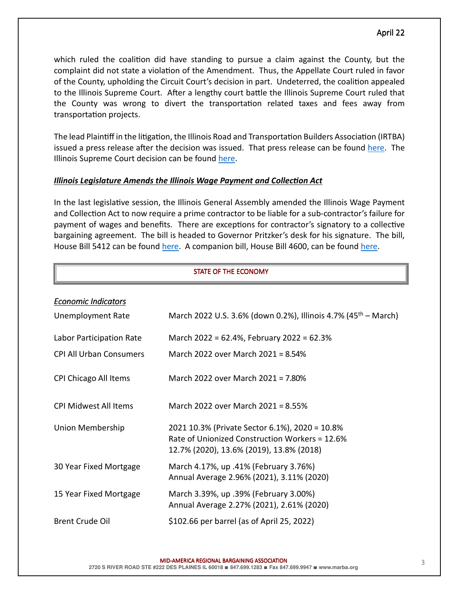which ruled the coalition did have standing to pursue a claim against the County, but the complaint did not state a violation of the Amendment. Thus, the Appellate Court ruled in favor of the County, upholding the Circuit Court's decision in part. Undeterred, the coalition appealed to the Illinois Supreme Court. After a lengthy court battle the Illinois Supreme Court ruled that the County was wrong to divert the transportation related taxes and fees away from transportation projects.

The lead Plaintiff in the litigation, the Illinois Road and Transportation Builders Association (IRTBA) issued a press release after the decision was issued. That press release can be found here. The Illinois Supreme Court decision can be found here.

#### **Illinois Legislature Amends the Illinois Wage Payment and Collection Act**

In the last legislative session, the Illinois General Assembly amended the Illinois Wage Payment and Collection Act to now require a prime contractor to be liable for a sub-contractor's failure for payment of wages and benefits. There are exceptions for contractor's signatory to a collective bargaining agreement. The bill is headed to Governor Pritzker's desk for his signature. The bill, House Bill 5412 can be found here. A companion bill, House Bill 4600, can be found here.

#### STATE OF THE ECONOMY

| <b>Economic Indicators</b>     |                                                                                                                                              |
|--------------------------------|----------------------------------------------------------------------------------------------------------------------------------------------|
| <b>Unemployment Rate</b>       | March 2022 U.S. 3.6% (down 0.2%), Illinois 4.7% (45 <sup>th</sup> – March)                                                                   |
| Labor Participation Rate       | March 2022 = 62.4%, February 2022 = 62.3%                                                                                                    |
| <b>CPI All Urban Consumers</b> | March 2022 over March 2021 = 8.54%                                                                                                           |
| CPI Chicago All Items          | March 2022 over March 2021 = 7.80%                                                                                                           |
| <b>CPI Midwest All Items</b>   | March 2022 over March 2021 = 8.55%                                                                                                           |
| Union Membership               | 2021 10.3% (Private Sector 6.1%), 2020 = 10.8%<br>Rate of Unionized Construction Workers = 12.6%<br>12.7% (2020), 13.6% (2019), 13.8% (2018) |
| 30 Year Fixed Mortgage         | March 4.17%, up .41% (February 3.76%)<br>Annual Average 2.96% (2021), 3.11% (2020)                                                           |
| 15 Year Fixed Mortgage         | March 3.39%, up .39% (February 3.00%)<br>Annual Average 2.27% (2021), 2.61% (2020)                                                           |
| <b>Brent Crude Oil</b>         | \$102.66 per barrel (as of April 25, 2022)                                                                                                   |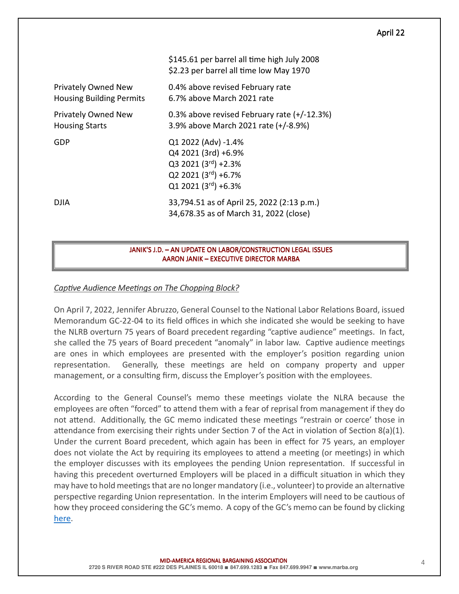#### April 22

|                                                               | \$145.61 per barrel all time high July 2008<br>\$2.23 per barrel all time low May 1970                              |
|---------------------------------------------------------------|---------------------------------------------------------------------------------------------------------------------|
| <b>Privately Owned New</b><br><b>Housing Building Permits</b> | 0.4% above revised February rate<br>6.7% above March 2021 rate                                                      |
| Privately Owned New<br><b>Housing Starts</b>                  | 0.3% above revised February rate (+/-12.3%)<br>3.9% above March 2021 rate (+/-8.9%)                                 |
| GDP                                                           | Q1 2022 (Adv) -1.4%<br>Q4 2021 (3rd) +6.9%<br>$Q3 2021 (3rd) +2.3%$<br>Q2 2021 (3rd) +6.7%<br>$Q1 2021 (3rd) +6.3%$ |
| DJIA                                                          | 33,794.51 as of April 25, 2022 (2:13 p.m.)<br>34,678.35 as of March 31, 2022 (close)                                |

#### JANIK'S J.D. – AN UPDATE ON LABOR/CONSTRUCTION LEGAL ISSUES AARON JANIK – EXECUTIVE DIRECTOR MARBA

#### *Captive Audience Meetings on The Chopping Block?*

On April 7, 2022, Jennifer Abruzzo, General Counsel to the National Labor Relations Board, issued Memorandum GC-22-04 to its field offices in which she indicated she would be seeking to have the NLRB overturn 75 years of Board precedent regarding "captive audience" meetings. In fact, she called the 75 years of Board precedent "anomaly" in labor law. Captive audience meetings are ones in which employees are presented with the employer's position regarding union representation. Generally, these meetings are held on company property and upper management, or a consulting firm, discuss the Employer's position with the employees.

According to the General Counsel's memo these meetings violate the NLRA because the employees are often "forced" to attend them with a fear of reprisal from management if they do not attend. Additionally, the GC memo indicated these meetings "restrain or coerce' those in attendance from exercising their rights under Section 7 of the Act in violation of Section 8(a)(1). Under the current Board precedent, which again has been in effect for 75 years, an employer does not violate the Act by requiring its employees to attend a meeting (or meetings) in which the employer discusses with its employees the pending Union representation. If successful in having this precedent overturned Employers will be placed in a difficult situation in which they may have to hold meetings that are no longer mandatory (i.e., volunteer) to provide an alternative perspective regarding Union representation. In the interim Employers will need to be cautious of how they proceed considering the GC's memo. A copy of the GC's memo can be found by clicking here.